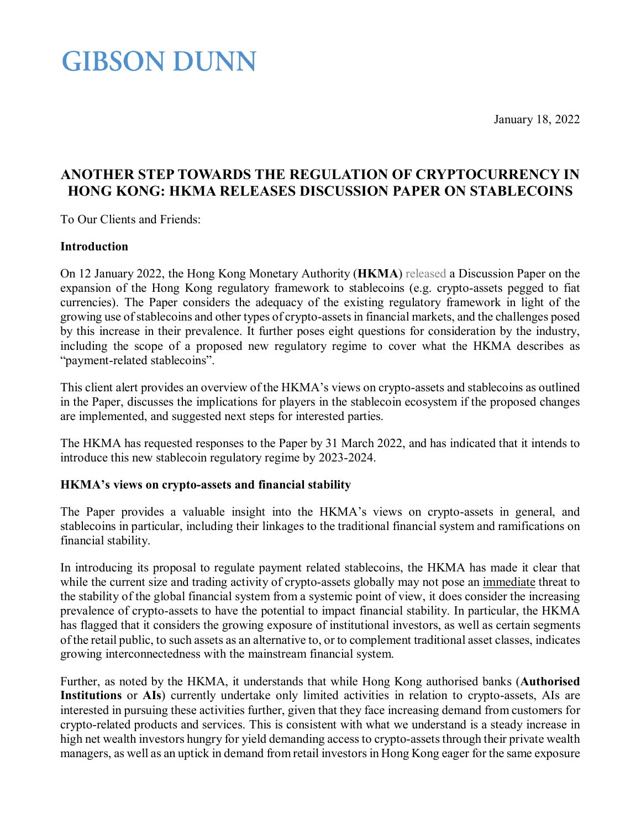January 18, 2022

### **GIBSON DUNN**

### **ANOTHER STEP TOWARDS THE REGULATION OF CRYPTOCURRENCY IN HONG KONG: HKMA RELEASES DISCUSSION PAPER ON STABLECOINS**

To Our Clients and Friends:

#### **Introduction**

On 12 January 2022, the Hong Kong Monetary Authority (**HKMA**) [released](https://www.hkma.gov.hk/media/eng/doc/key-information/press-release/2022/20220112e3a1.pdf) a Discussion Paper on the expansion of the Hong Kong regulatory framework to stablecoins (e.g. crypto-assets pegged to fiat currencies). The Paper considers the adequacy of the existing regulatory framework in light of the growing use of stablecoins and other types of crypto-assetsin financial markets, and the challenges posed by this increase in their prevalence. It further poses eight questions for consideration by the industry, including the scope of a proposed new regulatory regime to cover what the HKMA describes as "payment-related stablecoins".

This client alert provides an overview of the HKMA's views on crypto-assets and stablecoins as outlined in the Paper, discusses the implications for players in the stablecoin ecosystem if the proposed changes are implemented, and suggested next steps for interested parties.

The HKMA has requested responses to the Paper by 31 March 2022, and has indicated that it intends to introduce this new stablecoin regulatory regime by 2023-2024.

### **HKMA's views on crypto-assets and financial stability**

The Paper provides a valuable insight into the HKMA's views on crypto-assets in general, and stablecoins in particular, including their linkages to the traditional financial system and ramifications on financial stability.

In introducing its proposal to regulate payment related stablecoins, the HKMA has made it clear that while the current size and trading activity of crypto-assets globally may not pose an immediate threat to the stability of the global financial system from a systemic point of view, it does consider the increasing prevalence of crypto-assets to have the potential to impact financial stability. In particular, the HKMA has flagged that it considers the growing exposure of institutional investors, as well as certain segments of the retail public, to such assets as an alternative to, or to complement traditional asset classes, indicates growing interconnectedness with the mainstream financial system.

Further, as noted by the HKMA, it understands that while Hong Kong authorised banks (**Authorised Institutions** or **AIs**) currently undertake only limited activities in relation to crypto-assets, AIs are interested in pursuing these activities further, given that they face increasing demand from customers for crypto-related products and services. This is consistent with what we understand is a steady increase in high net wealth investors hungry for yield demanding access to crypto-assets through their private wealth managers, as well as an uptick in demand from retail investors in Hong Kong eager for the same exposure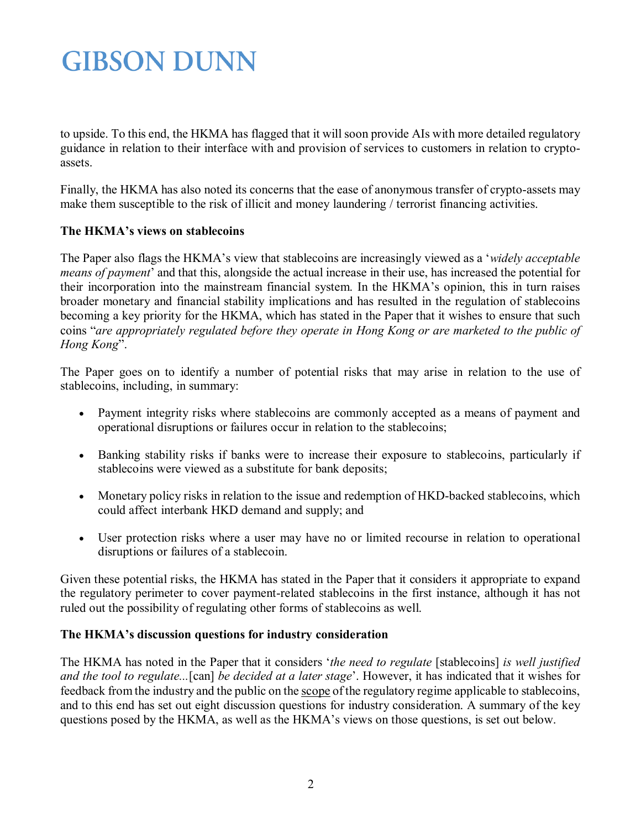to upside. To this end, the HKMA has flagged that it will soon provide AIs with more detailed regulatory guidance in relation to their interface with and provision of services to customers in relation to cryptoassets.

Finally, the HKMA has also noted its concerns that the ease of anonymous transfer of crypto-assets may make them susceptible to the risk of illicit and money laundering / terrorist financing activities.

#### **The HKMA's views on stablecoins**

The Paper also flags the HKMA's view that stablecoins are increasingly viewed as a '*widely acceptable means of payment*' and that this, alongside the actual increase in their use, has increased the potential for their incorporation into the mainstream financial system. In the HKMA's opinion, this in turn raises broader monetary and financial stability implications and has resulted in the regulation of stablecoins becoming a key priority for the HKMA, which has stated in the Paper that it wishes to ensure that such coins "*are appropriately regulated before they operate in Hong Kong or are marketed to the public of Hong Kong*".

The Paper goes on to identify a number of potential risks that may arise in relation to the use of stablecoins, including, in summary:

- Payment integrity risks where stablecoins are commonly accepted as a means of payment and operational disruptions or failures occur in relation to the stablecoins;
- Banking stability risks if banks were to increase their exposure to stablecoins, particularly if stablecoins were viewed as a substitute for bank deposits;
- Monetary policy risks in relation to the issue and redemption of HKD-backed stablecoins, which could affect interbank HKD demand and supply; and
- User protection risks where a user may have no or limited recourse in relation to operational disruptions or failures of a stablecoin.

Given these potential risks, the HKMA has stated in the Paper that it considers it appropriate to expand the regulatory perimeter to cover payment-related stablecoins in the first instance, although it has not ruled out the possibility of regulating other forms of stablecoins as well.

#### **The HKMA's discussion questions for industry consideration**

The HKMA has noted in the Paper that it considers '*the need to regulate* [stablecoins] *is well justified and the tool to regulate...*[can] *be decided at a later stage*'. However, it has indicated that it wishes for feedback from the industry and the public on the scope of the regulatory regime applicable to stablecoins, and to this end has set out eight discussion questions for industry consideration. A summary of the key questions posed by the HKMA, as well as the HKMA's views on those questions, is set out below.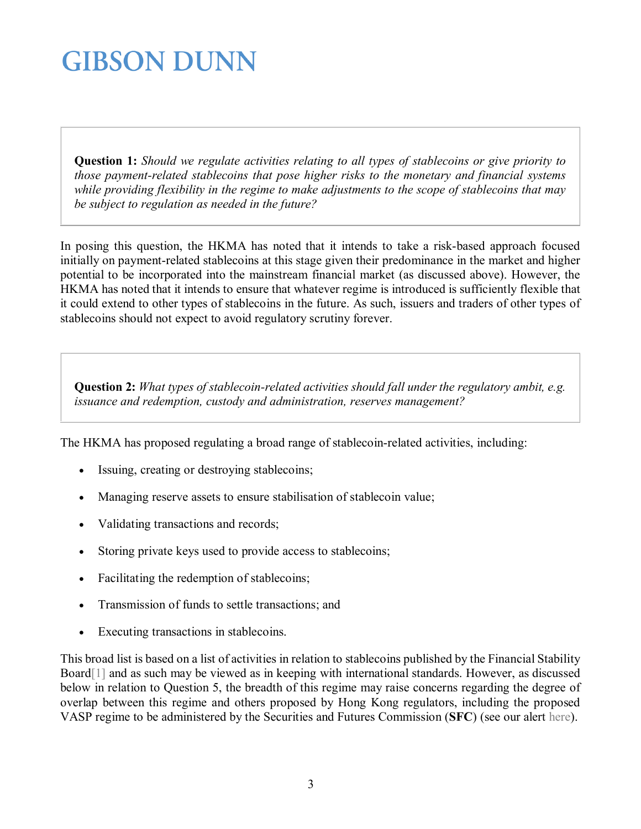**Question 1:** *Should we regulate activities relating to all types of stablecoins or give priority to those payment-related stablecoins that pose higher risks to the monetary and financial systems while providing flexibility in the regime to make adjustments to the scope of stablecoins that may be subject to regulation as needed in the future?*

In posing this question, the HKMA has noted that it intends to take a risk-based approach focused initially on payment-related stablecoins at this stage given their predominance in the market and higher potential to be incorporated into the mainstream financial market (as discussed above). However, the HKMA has noted that it intends to ensure that whatever regime is introduced is sufficiently flexible that it could extend to other types of stablecoins in the future. As such, issuers and traders of other types of stablecoins should not expect to avoid regulatory scrutiny forever.

**Question 2:** *What types of stablecoin-related activities should fall under the regulatory ambit, e.g. issuance and redemption, custody and administration, reserves management?*

The HKMA has proposed regulating a broad range of stablecoin-related activities, including:

- Issuing, creating or destroying stablecoins;
- Managing reserve assets to ensure stabilisation of stablecoin value;
- Validating transactions and records;
- Storing private keys used to provide access to stablecoins;
- Facilitating the redemption of stablecoins;
- Transmission of funds to settle transactions; and
- Executing transactions in stablecoins.

This broad list is based on a list of activities in relation to stablecoins published by the Financial Stability Boar[d\[1\]](#page-5-0) and as such may be viewed as in keeping with international standards. However, as discussed below in relation to Question 5, the breadth of this regime may raise concerns regarding the degree of overlap between this regime and others proposed by Hong Kong regulators, including the proposed VASP regime to be administered by the Securities and Futures Commission (**SFC**) (see our alert [here\)](https://www.gibsondunn.com/licensing-regime-for-virtual-asset-services-providers-in-hong-kong/).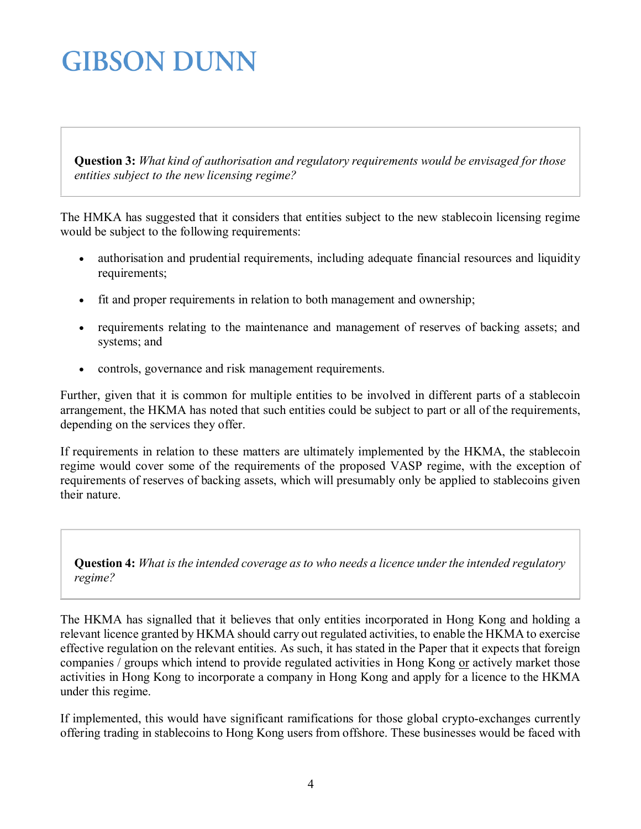**Question 3:** *What kind of authorisation and regulatory requirements would be envisaged for those entities subject to the new licensing regime?*

The HMKA has suggested that it considers that entities subject to the new stablecoin licensing regime would be subject to the following requirements:

- authorisation and prudential requirements, including adequate financial resources and liquidity requirements;
- fit and proper requirements in relation to both management and ownership;
- requirements relating to the maintenance and management of reserves of backing assets; and systems; and
- controls, governance and risk management requirements.

Further, given that it is common for multiple entities to be involved in different parts of a stablecoin arrangement, the HKMA has noted that such entities could be subject to part or all of the requirements, depending on the services they offer.

If requirements in relation to these matters are ultimately implemented by the HKMA, the stablecoin regime would cover some of the requirements of the proposed VASP regime, with the exception of requirements of reserves of backing assets, which will presumably only be applied to stablecoins given their nature.

**Question 4:** *What is the intended coverage as to who needs a licence under the intended regulatory regime?*

The HKMA has signalled that it believes that only entities incorporated in Hong Kong and holding a relevant licence granted by HKMA should carry out regulated activities, to enable the HKMA to exercise effective regulation on the relevant entities. As such, it has stated in the Paper that it expects that foreign companies / groups which intend to provide regulated activities in Hong Kong or actively market those activities in Hong Kong to incorporate a company in Hong Kong and apply for a licence to the HKMA under this regime.

If implemented, this would have significant ramifications for those global crypto-exchanges currently offering trading in stablecoins to Hong Kong users from offshore. These businesses would be faced with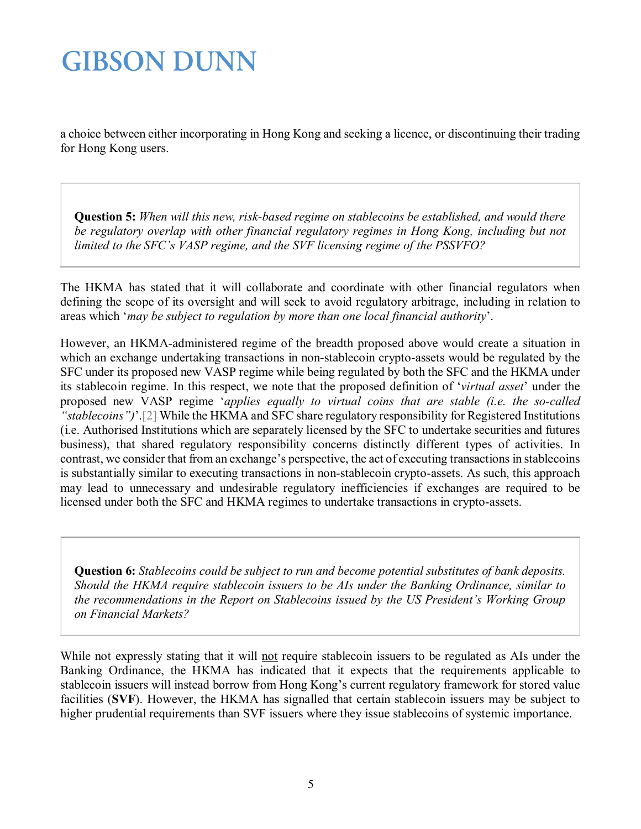a choice between either incorporating in Hong Kong and seeking a licence, or discontinuing their trading for Hong Kong users.

**Question 5:** *When will this new, risk-based regime on stablecoins be established, and would there*  be regulatory overlap with other financial regulatory regimes in Hong Kong, including but not *limited to the SFC's VASP regime, and the SVF licensing regime of the PSSVFO?*

The HKMA has stated that it will collaborate and coordinate with other financial regulators when defining the scope of its oversight and will seek to avoid regulatory arbitrage, including in relation to areas which '*may be subject to regulation by more than one local financial authority*'.

However, an HKMA-administered regime of the breadth proposed above would create a situation in which an exchange undertaking transactions in non-stablecoin crypto-assets would be regulated by the SFC under its proposed new VASP regime while being regulated by both the SFC and the HKMA under its stablecoin regime. In this respect, we note that the proposed definition of '*virtual asset*' under the proposed new VASP regime '*applies equally to virtual coins that are stable (i.e. the so-called "stablecoins")*'[.\[2\]](#page-5-1) While the HKMA and SFC share regulatory responsibility for Registered Institutions (i.e. Authorised Institutions which are separately licensed by the SFC to undertake securities and futures business), that shared regulatory responsibility concerns distinctly different types of activities. In contrast, we consider that from an exchange's perspective, the act of executing transactions in stablecoins is substantially similar to executing transactions in non-stablecoin crypto-assets. As such, this approach may lead to unnecessary and undesirable regulatory inefficiencies if exchanges are required to be licensed under both the SFC and HKMA regimes to undertake transactions in crypto-assets.

**Question 6:** *Stablecoins could be subject to run and become potential substitutes of bank deposits. Should the HKMA require stablecoin issuers to be AIs under the Banking Ordinance, similar to the recommendations in the Report on Stablecoins issued by the US President's Working Group on Financial Markets?*

While not expressly stating that it will not require stablecoin issuers to be regulated as AIs under the Banking Ordinance, the HKMA has indicated that it expects that the requirements applicable to stablecoin issuers will instead borrow from Hong Kong's current regulatory framework for stored value facilities (**SVF**). However, the HKMA has signalled that certain stablecoin issuers may be subject to higher prudential requirements than SVF issuers where they issue stablecoins of systemic importance.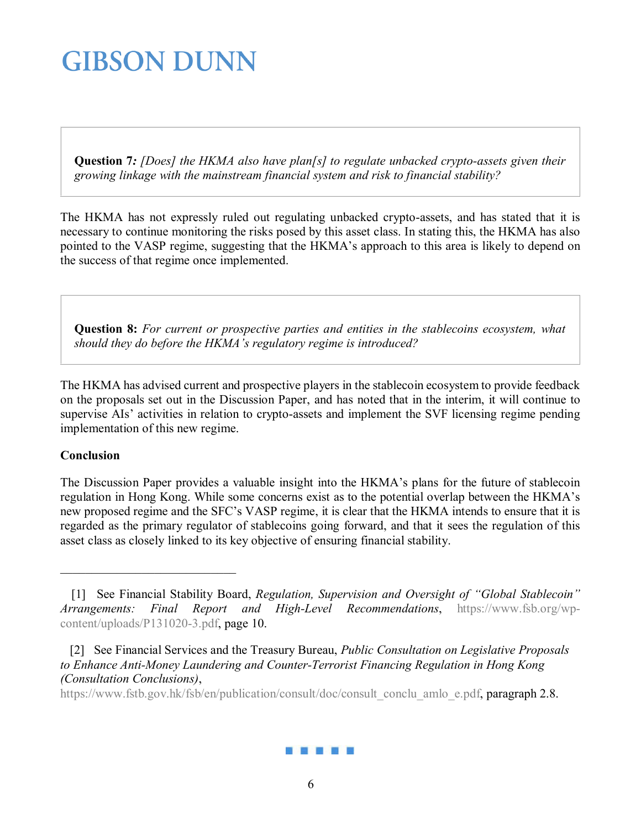**Question 7***: [Does] the HKMA also have plan[s] to regulate unbacked crypto-assets given their growing linkage with the mainstream financial system and risk to financial stability?*

The HKMA has not expressly ruled out regulating unbacked crypto-assets, and has stated that it is necessary to continue monitoring the risks posed by this asset class. In stating this, the HKMA has also pointed to the VASP regime, suggesting that the HKMA's approach to this area is likely to depend on the success of that regime once implemented.

**Question 8:** *For current or prospective parties and entities in the stablecoins ecosystem, what should they do before the HKMA's regulatory regime is introduced?*

The HKMA has advised current and prospective players in the stablecoin ecosystem to provide feedback on the proposals set out in the Discussion Paper, and has noted that in the interim, it will continue to supervise AIs' activities in relation to crypto-assets and implement the SVF licensing regime pending implementation of this new regime.

#### **Conclusion**

The Discussion Paper provides a valuable insight into the HKMA's plans for the future of stablecoin regulation in Hong Kong. While some concerns exist as to the potential overlap between the HKMA's new proposed regime and the SFC's VASP regime, it is clear that the HKMA intends to ensure that it is regarded as the primary regulator of stablecoins going forward, and that it sees the regulation of this asset class as closely linked to its key objective of ensuring financial stability.

[https://www.fstb.gov.hk/fsb/en/publication/consult/doc/consult\\_conclu\\_amlo\\_e.pdf,](https://www.fstb.gov.hk/fsb/en/publication/consult/doc/consult_conclu_amlo_e.pdf) paragraph 2.8.



<span id="page-5-0"></span> <sup>[1]</sup> See Financial Stability Board, *Regulation, Supervision and Oversight of "Global Stablecoin" Arrangements: Final Report and High-Level Recommendations*, [https://www.fsb.org/wp](https://www.fsb.org/wp-content/uploads/P131020-3.pdf)[content/uploads/P131020-3.pdf,](https://www.fsb.org/wp-content/uploads/P131020-3.pdf) page 10.

<span id="page-5-1"></span> <sup>[2]</sup> See Financial Services and the Treasury Bureau, *Public Consultation on Legislative Proposals to Enhance Anti-Money Laundering and Counter-Terrorist Financing Regulation in Hong Kong (Consultation Conclusions)*,